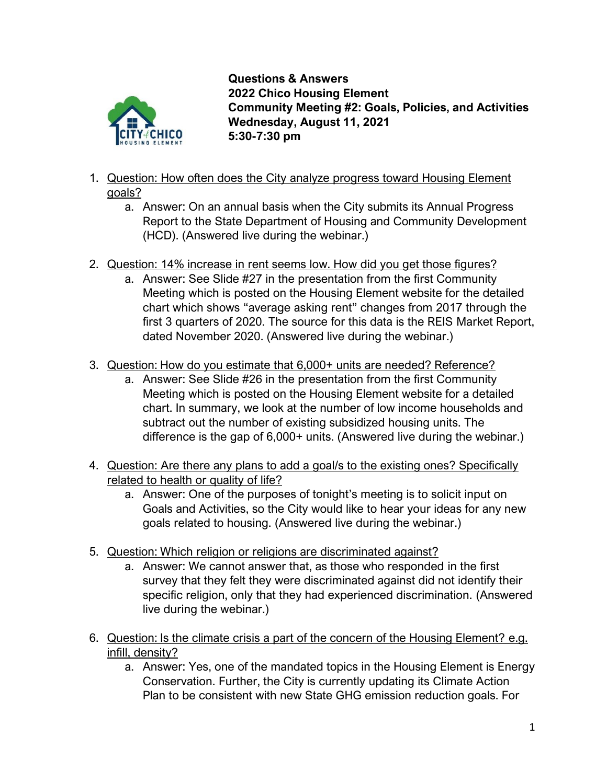

**Questions & Answers 2022 Chico Housing Element Community Meeting #2: Goals, Policies, and Activities Wednesday, August 11, 2021 5:30-7:30 pm**

- 1. Question: How often does the City analyze progress toward Housing Element goals?
	- a. Answer: On an annual basis when the City submits its Annual Progress Report to the State Department of Housing and Community Development (HCD). (Answered live during the webinar.)
- 2. Question: 14% increase in rent seems low. How did you get those figures?
	- a. Answer: See Slide #27 in the presentation from the first Community Meeting which is posted on the Housing Element website for the detailed chart which shows "average asking rent" changes from 2017 through the first 3 quarters of 2020. The source for this data is the REIS Market Report, dated November 2020. (Answered live during the webinar.)
- 3. Question: How do you estimate that 6,000+ units are needed? Reference?
	- a. Answer: See Slide #26 in the presentation from the first Community Meeting which is posted on the Housing Element website for a detailed chart. In summary, we look at the number of low income households and subtract out the number of existing subsidized housing units. The difference is the gap of 6,000+ units. (Answered live during the webinar.)
- 4. Question: Are there any plans to add a goal/s to the existing ones? Specifically related to health or quality of life?
	- a. Answer: One of the purposes of tonight's meeting is to solicit input on Goals and Activities, so the City would like to hear your ideas for any new goals related to housing. (Answered live during the webinar.)
- 5. Question: Which religion or religions are discriminated against?
	- a. Answer: We cannot answer that, as those who responded in the first survey that they felt they were discriminated against did not identify their specific religion, only that they had experienced discrimination. (Answered live during the webinar.)
- 6. Question: Is the climate crisis a part of the concern of the Housing Element? e.g. infill, density?
	- a. Answer: Yes, one of the mandated topics in the Housing Element is Energy Conservation. Further, the City is currently updating its Climate Action Plan to be consistent with new State GHG emission reduction goals. For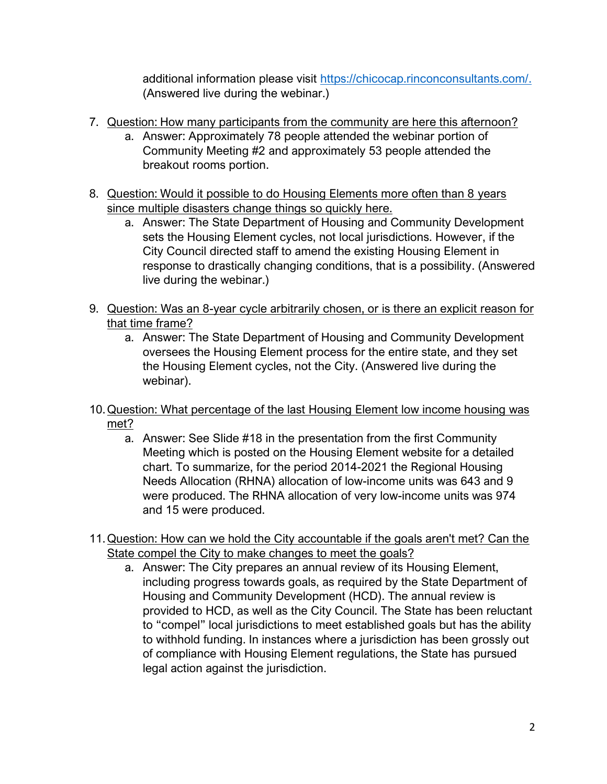additional information please visit [https://chicocap.rinconconsultants.com/.](https://chicocap.rinconconsultants.com/) (Answered live during the webinar.)

- 7. Question: How many participants from the community are here this afternoon?
	- a. Answer: Approximately 78 people attended the webinar portion of Community Meeting #2 and approximately 53 people attended the breakout rooms portion.
- 8. Question: Would it possible to do Housing Elements more often than 8 years since multiple disasters change things so quickly here.
	- a. Answer: The State Department of Housing and Community Development sets the Housing Element cycles, not local jurisdictions. However, if the City Council directed staff to amend the existing Housing Element in response to drastically changing conditions, that is a possibility. (Answered live during the webinar.)
- 9. Question: Was an 8-year cycle arbitrarily chosen, or is there an explicit reason for that time frame?
	- a. Answer: The State Department of Housing and Community Development oversees the Housing Element process for the entire state, and they set the Housing Element cycles, not the City. (Answered live during the webinar).
- 10.Question: What percentage of the last Housing Element low income housing was met?
	- a. Answer: See Slide #18 in the presentation from the first Community Meeting which is posted on the Housing Element website for a detailed chart. To summarize, for the period 2014-2021 the Regional Housing Needs Allocation (RHNA) allocation of low-income units was 643 and 9 were produced. The RHNA allocation of very low-income units was 974 and 15 were produced.
- 11.Question: How can we hold the City accountable if the goals aren't met? Can the State compel the City to make changes to meet the goals?
	- a. Answer: The City prepares an annual review of its Housing Element, including progress towards goals, as required by the State Department of Housing and Community Development (HCD). The annual review is provided to HCD, as well as the City Council. The State has been reluctant to "compel" local jurisdictions to meet established goals but has the ability to withhold funding. In instances where a jurisdiction has been grossly out of compliance with Housing Element regulations, the State has pursued legal action against the jurisdiction.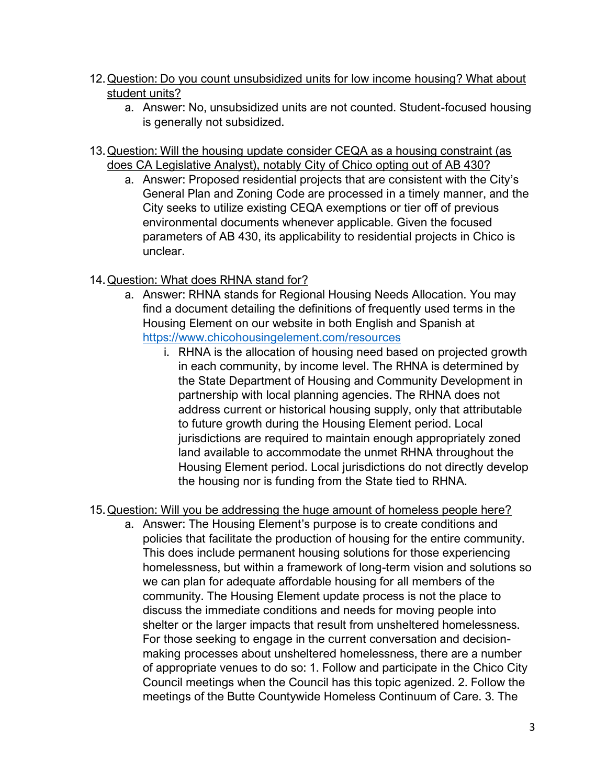- 12.Question: Do you count unsubsidized units for low income housing? What about student units?
	- a. Answer: No, unsubsidized units are not counted. Student-focused housing is generally not subsidized.
- 13.Question: Will the housing update consider CEQA as a housing constraint (as does CA Legislative Analyst), notably City of Chico opting out of AB 430?
	- a. Answer: Proposed residential projects that are consistent with the City's General Plan and Zoning Code are processed in a timely manner, and the City seeks to utilize existing CEQA exemptions or tier off of previous environmental documents whenever applicable. Given the focused parameters of AB 430, its applicability to residential projects in Chico is unclear.
- 14.Question: What does RHNA stand for?
	- a. Answer: RHNA stands for Regional Housing Needs Allocation. You may find a document detailing the definitions of frequently used terms in the Housing Element on our website in both English and Spanish at <https://www.chicohousingelement.com/resources>
		- i. RHNA is the allocation of housing need based on projected growth in each community, by income level. The RHNA is determined by the State Department of Housing and Community Development in partnership with local planning agencies. The RHNA does not address current or historical housing supply, only that attributable to future growth during the Housing Element period. Local jurisdictions are required to maintain enough appropriately zoned land available to accommodate the unmet RHNA throughout the Housing Element period. Local jurisdictions do not directly develop the housing nor is funding from the State tied to RHNA.
- 15.Question: Will you be addressing the huge amount of homeless people here?
	- a. Answer: The Housing Element's purpose is to create conditions and policies that facilitate the production of housing for the entire community. This does include permanent housing solutions for those experiencing homelessness, but within a framework of long-term vision and solutions so we can plan for adequate affordable housing for all members of the community. The Housing Element update process is not the place to discuss the immediate conditions and needs for moving people into shelter or the larger impacts that result from unsheltered homelessness. For those seeking to engage in the current conversation and decisionmaking processes about unsheltered homelessness, there are a number of appropriate venues to do so: 1. Follow and participate in the Chico City Council meetings when the Council has this topic agenized. 2. Follow the meetings of the Butte Countywide Homeless Continuum of Care. 3. The